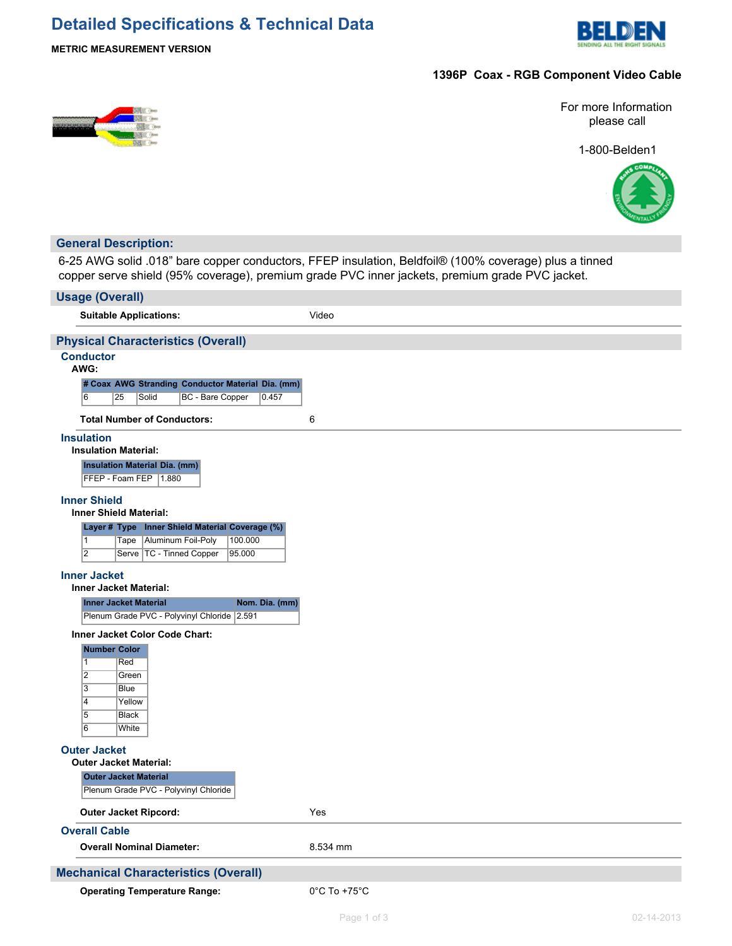# **Detailed Specifications & Technical Data**



## **METRIC MEASUREMENT VERSION**

# **1396P Coax - RGB Component Video Cable**

For more Information please call

1-800-Belden1



## **General Description:**

6-25 AWG solid .018" bare copper conductors, FFEP insulation, Beldfoil® (100% coverage) plus a tinned copper serve shield (95% coverage), premium grade PVC inner jackets, premium grade PVC jacket.

| <b>Usage (Overall)</b>                                                                                                 |                                   |
|------------------------------------------------------------------------------------------------------------------------|-----------------------------------|
| <b>Suitable Applications:</b>                                                                                          | Video                             |
| <b>Physical Characteristics (Overall)</b>                                                                              |                                   |
| <b>Conductor</b><br>AWG:                                                                                               |                                   |
| # Coax AWG Stranding Conductor Material Dia. (mm)<br>$\overline{6}$<br><b>BC</b> - Bare Copper<br>0.457<br>25<br>Solid |                                   |
| <b>Total Number of Conductors:</b>                                                                                     | 6                                 |
| <b>Insulation</b><br><b>Insulation Material:</b>                                                                       |                                   |
| <b>Insulation Material Dia. (mm)</b><br>FFEP - Foam FEP   1.880                                                        |                                   |
| <b>Inner Shield</b><br><b>Inner Shield Material:</b>                                                                   |                                   |
| Layer # Type Inner Shield Material Coverage (%)                                                                        |                                   |
| Tape   Aluminum Foil-Poly<br>100.000<br>$\mathbf{1}$<br>$\overline{2}$                                                 |                                   |
| Serve   TC - Tinned Copper<br>95.000                                                                                   |                                   |
| <b>Inner Jacket</b><br><b>Inner Jacket Material:</b>                                                                   |                                   |
| <b>Inner Jacket Material</b><br>Nom. Dia. (mm)<br>Plenum Grade PVC - Polyvinyl Chloride 2.591                          |                                   |
| Inner Jacket Color Code Chart:                                                                                         |                                   |
| <b>Number Color</b>                                                                                                    |                                   |
| $\overline{1}$<br>Red                                                                                                  |                                   |
| $\overline{2}$<br>Green                                                                                                |                                   |
| $\overline{3}$<br>Blue<br>4<br>Yellow                                                                                  |                                   |
| $\overline{5}$<br><b>Black</b>                                                                                         |                                   |
| $\overline{6}$<br>White                                                                                                |                                   |
| <b>Outer Jacket</b><br><b>Outer Jacket Material:</b>                                                                   |                                   |
| <b>Outer Jacket Material</b><br>Plenum Grade PVC - Polyvinyl Chloride                                                  |                                   |
| <b>Outer Jacket Ripcord:</b>                                                                                           | Yes                               |
| <b>Overall Cable</b>                                                                                                   |                                   |
| <b>Overall Nominal Diameter:</b>                                                                                       | 8.534 mm                          |
| <b>Mechanical Characteristics (Overall)</b>                                                                            |                                   |
| <b>Operating Temperature Range:</b>                                                                                    | $0^{\circ}$ C To +75 $^{\circ}$ C |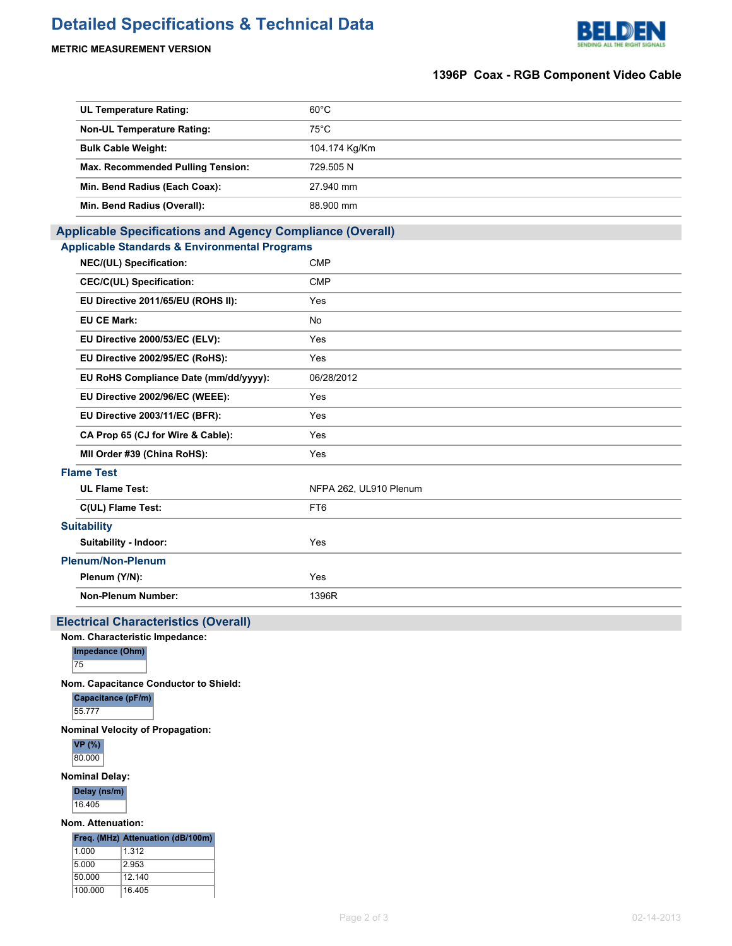# **Detailed Specifications & Technical Data**



# **METRIC MEASUREMENT VERSION**

# **1396P Coax - RGB Component Video Cable**

| <b>UL Temperature Rating:</b>                                    | $60^{\circ}$ C         |  |  |
|------------------------------------------------------------------|------------------------|--|--|
| <b>Non-UL Temperature Rating:</b>                                | $75^{\circ}$ C         |  |  |
| <b>Bulk Cable Weight:</b>                                        | 104.174 Kg/Km          |  |  |
| Max. Recommended Pulling Tension:                                | 729.505N               |  |  |
| Min. Bend Radius (Each Coax):                                    | 27.940 mm              |  |  |
| Min. Bend Radius (Overall):                                      | 88.900 mm              |  |  |
| <b>Applicable Specifications and Agency Compliance (Overall)</b> |                        |  |  |
| <b>Applicable Standards &amp; Environmental Programs</b>         |                        |  |  |
| NEC/(UL) Specification:                                          | <b>CMP</b>             |  |  |
| <b>CEC/C(UL) Specification:</b>                                  | <b>CMP</b>             |  |  |
| EU Directive 2011/65/EU (ROHS II):                               | Yes                    |  |  |
| <b>EU CE Mark:</b>                                               | No                     |  |  |
| EU Directive 2000/53/EC (ELV):                                   | Yes                    |  |  |
| EU Directive 2002/95/EC (RoHS):                                  | Yes                    |  |  |
| EU RoHS Compliance Date (mm/dd/yyyy):                            | 06/28/2012             |  |  |
| EU Directive 2002/96/EC (WEEE):                                  | Yes                    |  |  |
| EU Directive 2003/11/EC (BFR):                                   | Yes                    |  |  |
| CA Prop 65 (CJ for Wire & Cable):                                | Yes                    |  |  |
| MII Order #39 (China RoHS):                                      | Yes                    |  |  |
| <b>Flame Test</b>                                                |                        |  |  |
| <b>UL Flame Test:</b>                                            | NFPA 262, UL910 Plenum |  |  |
| C(UL) Flame Test:                                                | FT6                    |  |  |
| <b>Suitability</b>                                               |                        |  |  |
| Suitability - Indoor:                                            | Yes                    |  |  |
| <b>Plenum/Non-Plenum</b>                                         |                        |  |  |
| Plenum (Y/N):                                                    | Yes                    |  |  |
| Non-Plenum Number:                                               | 1396R                  |  |  |
|                                                                  |                        |  |  |

# **Electrical Characteristics (Overall)**

**Nom. Characteristic Impedance:**

**Impedance (Ohm)**

75

**Nom. Capacitance Conductor to Shield:**

**Capacitance (pF/m)** 55.777

**Nominal Velocity of Propagation:**

**VP (%)** 80.000

**Nominal Delay:**

**Delay (ns/m)** 16.405

**Nom. Attenuation:**

**Freq. (MHz) Attenuation (dB/100m)** 1.000 1.312

| 5.000   | 2.953  |
|---------|--------|
| 50.000  | 12 140 |
| 100.000 | 16.405 |